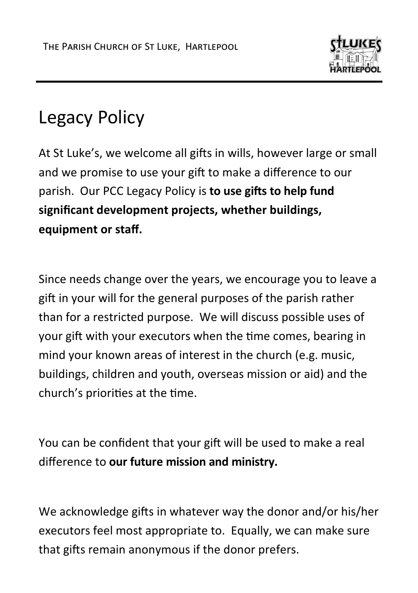

## Legacy Policy

At St Luke's, we welcome all gifts in wills, however large or small and we promise to use your gift to make a difference to our parish. Our PCC Legacy Policy is **to use gifts to help fund significant development projects, whether buildings, equipment or staff.**

Since needs change over the years, we encourage you to leave a gift in your will for the general purposes of the parish rather than for a restricted purpose. We will discuss possible uses of your gift with your executors when the time comes, bearing in mind your known areas of interest in the church (e.g. music, buildings, children and youth, overseas mission or aid) and the church's priorities at the time.

You can be confident that your gift will be used to make a real difference to **our future mission and ministry.**

We acknowledge gifts in whatever way the donor and/or his/her executors feel most appropriate to. Equally, we can make sure that gifts remain anonymous if the donor prefers.